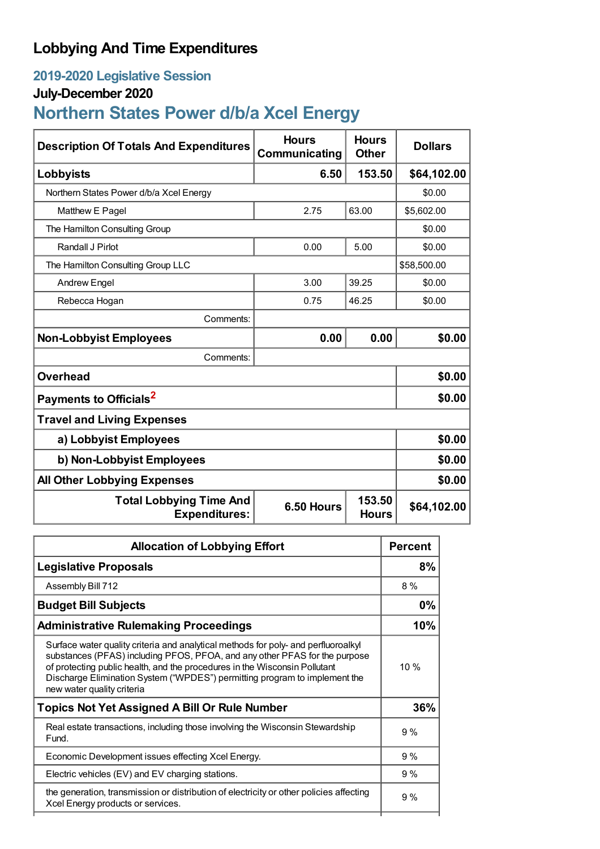## **Lobbying And Time Expenditures**

### **2019-2020 Legislative Session**

#### **July-December 2020**

# **Northern States Power d/b/a Xcel Energy**

| <b>Description Of Totals And Expenditures</b>          | <b>Hours</b><br>Communicating | <b>Hours</b><br><b>Other</b> | <b>Dollars</b> |
|--------------------------------------------------------|-------------------------------|------------------------------|----------------|
| Lobbyists                                              | 6.50                          | 153.50                       | \$64,102.00    |
| Northern States Power d/b/a Xcel Energy                |                               |                              | \$0.00         |
| Matthew E Pagel                                        | 2.75                          | 63.00                        | \$5,602.00     |
| The Hamilton Consulting Group                          |                               |                              |                |
| Randall J Pirlot                                       | 0.00                          | 5.00                         | \$0.00         |
| The Hamilton Consulting Group LLC                      |                               |                              | \$58,500.00    |
| <b>Andrew Engel</b>                                    | 3.00                          | 39.25                        | \$0.00         |
| Rebecca Hogan                                          | 0.75                          | 46.25                        | \$0.00         |
| Comments:                                              |                               |                              |                |
| <b>Non-Lobbyist Employees</b>                          | 0.00                          | 0.00                         | \$0.00         |
| Comments:                                              |                               |                              |                |
| <b>Overhead</b>                                        |                               |                              | \$0.00         |
| Payments to Officials <sup>2</sup>                     |                               |                              | \$0.00         |
| <b>Travel and Living Expenses</b>                      |                               |                              |                |
| a) Lobbyist Employees                                  |                               |                              | \$0.00         |
| b) Non-Lobbyist Employees                              | \$0.00                        |                              |                |
| <b>All Other Lobbying Expenses</b>                     |                               |                              | \$0.00         |
| <b>Total Lobbying Time And</b><br><b>Expenditures:</b> | 6.50 Hours                    | 153.50<br><b>Hours</b>       | \$64,102.00    |

| <b>Allocation of Lobbying Effort</b>                                                                                                                                                                                                                                                                                                                      |     |
|-----------------------------------------------------------------------------------------------------------------------------------------------------------------------------------------------------------------------------------------------------------------------------------------------------------------------------------------------------------|-----|
| <b>Legislative Proposals</b>                                                                                                                                                                                                                                                                                                                              | 8%  |
| Assembly Bill 712                                                                                                                                                                                                                                                                                                                                         | 8%  |
| <b>Budget Bill Subjects</b>                                                                                                                                                                                                                                                                                                                               |     |
| <b>Administrative Rulemaking Proceedings</b>                                                                                                                                                                                                                                                                                                              | 10% |
| Surface water quality criteria and analytical methods for poly- and perfluoroalky<br>substances (PFAS) including PFOS, PFOA, and any other PFAS for the purpose<br>of protecting public health, and the procedures in the Wisconsin Pollutant<br>Discharge Elimination System ("WPDES") permitting program to implement the<br>new water quality criteria | 10% |
| <b>Topics Not Yet Assigned A Bill Or Rule Number</b>                                                                                                                                                                                                                                                                                                      | 36% |
| Real estate transactions, including those involving the Wisconsin Stewardship<br>Fund.                                                                                                                                                                                                                                                                    | 9%  |
| Economic Development issues effecting Xcel Energy.                                                                                                                                                                                                                                                                                                        | 9%  |
| Electric vehicles (EV) and EV charging stations.                                                                                                                                                                                                                                                                                                          | 9%  |
| the generation, transmission or distribution of electricity or other policies affecting<br>Xcel Energy products or services.                                                                                                                                                                                                                              | 9%  |